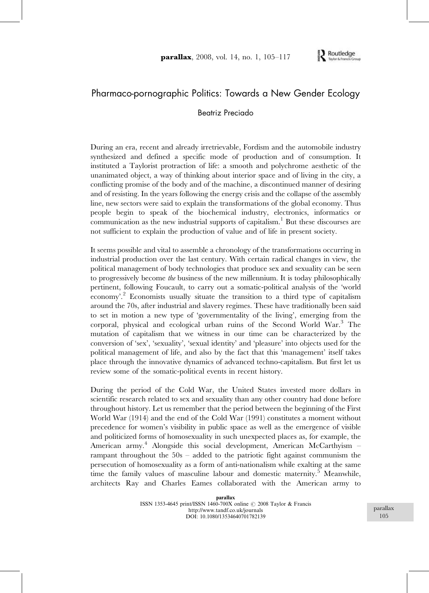# Pharmaco-pornographic Politics: Towards a New Gender Ecology

### Beatriz Preciado

During an era, recent and already irretrievable, Fordism and the automobile industry synthesized and defined a specific mode of production and of consumption. It instituted a Taylorist protraction of life: a smooth and polychrome aesthetic of the unanimated object, a way of thinking about interior space and of living in the city, a conflicting promise of the body and of the machine, a discontinued manner of desiring and of resisting. In the years following the energy crisis and the collapse of the assembly line, new sectors were said to explain the transformations of the global economy. Thus people begin to speak of the biochemical industry, electronics, informatics or communication as the new industrial supports of capitalism.<sup>1</sup> But these discourses are not sufficient to explain the production of value and of life in present society.

It seems possible and vital to assemble a chronology of the transformations occurring in industrial production over the last century. With certain radical changes in view, the political management of body technologies that produce sex and sexuality can be seen to progressively become the business of the new millennium. It is today philosophically pertinent, following Foucault, to carry out a somatic-political analysis of the 'world economy'.<sup>2</sup> Economists usually situate the transition to a third type of capitalism around the 70s, after industrial and slavery regimes. These have traditionally been said to set in motion a new type of 'governmentality of the living', emerging from the corporal, physical and ecological urban ruins of the Second World War.<sup>3</sup> The mutation of capitalism that we witness in our time can be characterized by the conversion of 'sex', 'sexuality', 'sexual identity' and 'pleasure' into objects used for the political management of life, and also by the fact that this 'management' itself takes place through the innovative dynamics of advanced techno-capitalism. But first let us review some of the somatic-political events in recent history.

During the period of the Cold War, the United States invested more dollars in scientific research related to sex and sexuality than any other country had done before throughout history. Let us remember that the period between the beginning of the First World War (1914) and the end of the Cold War (1991) constitutes a moment without precedence for women's visibility in public space as well as the emergence of visible and politicized forms of homosexuality in such unexpected places as, for example, the American army.<sup>4</sup> Alongside this social development, American McCarthyism – rampant throughout the 50s – added to the patriotic fight against communism the persecution of homosexuality as a form of anti-nationalism while exalting at the same time the family values of masculine labour and domestic maternity.<sup>5</sup> Meanwhile, architects Ray and Charles Eames collaborated with the American army to

parallax

ISSN 1353-4645 print/ISSN 1460-700X online © 2008 Taylor & Francis http://www.tandf.co.uk/journals DOI: 10.1080/13534640701782139

parallax 105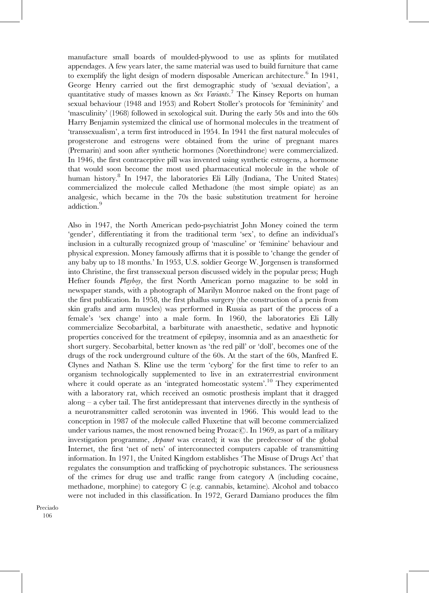manufacture small boards of moulded-plywood to use as splints for mutilated appendages. A few years later, the same material was used to build furniture that came to exemplify the light design of modern disposable American architecture.<sup>6</sup> In 1941, George Henry carried out the first demographic study of 'sexual deviation', a quantitative study of masses known as Sex Variants.<sup>7</sup> The Kinsey Reports on human sexual behaviour (1948 and 1953) and Robert Stoller's protocols for 'femininity' and 'masculinity' (1968) followed in sexological suit. During the early 50s and into the 60s Harry Benjamin systemized the clinical use of hormonal molecules in the treatment of 'transsexualism', a term first introduced in 1954. In 1941 the first natural molecules of progesterone and estrogens were obtained from the urine of pregnant mares (Premarin) and soon after synthetic hormones (Norethindrone) were commercialized. In 1946, the first contraceptive pill was invented using synthetic estrogens, a hormone that would soon become the most used pharmaceutical molecule in the whole of human history.<sup>8</sup> In 1947, the laboratories Eli Lilly (Indiana, The United States) commercialized the molecule called Methadone (the most simple opiate) as an analgesic, which became in the 70s the basic substitution treatment for heroine addiction.<sup>9</sup>

Also in 1947, the North American pedo-psychiatrist John Money coined the term 'gender', differentiating it from the traditional term 'sex', to define an individual's inclusion in a culturally recognized group of 'masculine' or 'feminine' behaviour and physical expression. Money famously affirms that it is possible to 'change the gender of any baby up to 18 months.' In 1953, U.S. soldier George W. Jorgensen is transformed into Christine, the first transsexual person discussed widely in the popular press; Hugh Hefner founds Playboy, the first North American porno magazine to be sold in newspaper stands, with a photograph of Marilyn Monroe naked on the front page of the first publication. In 1958, the first phallus surgery (the construction of a penis from skin grafts and arm muscles) was performed in Russia as part of the process of a female's 'sex change' into a male form. In 1960, the laboratories Eli Lilly commercialize Secobarbital, a barbiturate with anaesthetic, sedative and hypnotic properties conceived for the treatment of epilepsy, insomnia and as an anaesthetic for short surgery. Secobarbital, better known as 'the red pill' or 'doll', becomes one of the drugs of the rock underground culture of the 60s. At the start of the 60s, Manfred E. Clynes and Nathan S. Kline use the term 'cyborg' for the first time to refer to an organism technologically supplemented to live in an extraterrestrial environment where it could operate as an 'integrated homeostatic system'.<sup>10</sup> They experimented with a laboratory rat, which received an osmotic prosthesis implant that it dragged along – a cyber tail. The first antidepressant that intervenes directly in the synthesis of a neurotransmitter called serotonin was invented in 1966. This would lead to the conception in 1987 of the molecule called Fluxetine that will become commercialized under various names, the most renowned being  $Prozac( \odot)$ . In 1969, as part of a military investigation programme, Arpanet was created; it was the predecessor of the global Internet, the first 'net of nets' of interconnected computers capable of transmitting information. In 1971, the United Kingdom establishes 'The Misuse of Drugs Act' that regulates the consumption and trafficking of psychotropic substances. The seriousness of the crimes for drug use and traffic range from category A (including cocaine, methadone, morphine) to category C (e.g. cannabis, ketamine). Alcohol and tobacco were not included in this classification. In 1972, Gerard Damiano produces the film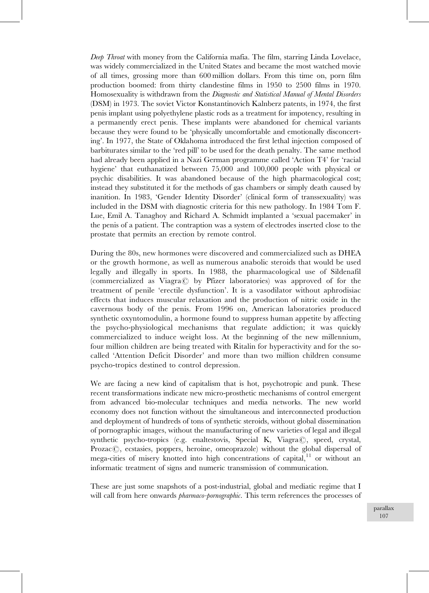Deep Throat with money from the California mafia. The film, starring Linda Lovelace, was widely commercialized in the United States and became the most watched movie of all times, grossing more than 600 million dollars. From this time on, porn film production boomed: from thirty clandestine films in 1950 to 2500 films in 1970. Homosexuality is withdrawn from the *Diagnostic and Statistical Manual of Mental Disorders* (DSM) in 1973. The soviet Victor Konstantinovich Kalnberz patents, in 1974, the first penis implant using polyethylene plastic rods as a treatment for impotency, resulting in a permanently erect penis. These implants were abandoned for chemical variants because they were found to be 'physically uncomfortable and emotionally disconcerting'. In 1977, the State of Oklahoma introduced the first lethal injection composed of barbiturates similar to the 'red pill' to be used for the death penalty. The same method had already been applied in a Nazi German programme called 'Action T4' for 'racial hygiene' that euthanatized between 75,000 and 100,000 people with physical or psychic disabilities. It was abandoned because of the high pharmacological cost; instead they substituted it for the methods of gas chambers or simply death caused by inanition. In 1983, 'Gender Identity Disorder' (clinical form of transsexuality) was included in the DSM with diagnostic criteria for this new pathology. In 1984 Tom F. Lue, Emil A. Tanaghoy and Richard A. Schmidt implanted a 'sexual pacemaker' in the penis of a patient. The contraption was a system of electrodes inserted close to the prostate that permits an erection by remote control.

During the 80s, new hormones were discovered and commercialized such as DHEA or the growth hormone, as well as numerous anabolic steroids that would be used legally and illegally in sports. In 1988, the pharmacological use of Sildenafil (commercialized as Viagra $\odot$  by Pfizer laboratories) was approved of for the treatment of penile 'erectile dysfunction'. It is a vasodilator without aphrodisiac effects that induces muscular relaxation and the production of nitric oxide in the cavernous body of the penis. From 1996 on, American laboratories produced synthetic oxyntomodulin, a hormone found to suppress human appetite by affecting the psycho-physiological mechanisms that regulate addiction; it was quickly commercialized to induce weight loss. At the beginning of the new millennium, four million children are being treated with Ritalin for hyperactivity and for the socalled 'Attention Deficit Disorder' and more than two million children consume psycho-tropics destined to control depression.

We are facing a new kind of capitalism that is hot, psychotropic and punk. These recent transformations indicate new micro-prosthetic mechanisms of control emergent from advanced bio-molecular techniques and media networks. The new world economy does not function without the simultaneous and interconnected production and deployment of hundreds of tons of synthetic steroids, without global dissemination of pornographic images, without the manufacturing of new varieties of legal and illegal synthetic psycho-tropics (e.g. enaltestovis, Special K, Viagra (C), speed, crystal, Prozac $\odot$ , ecstasies, poppers, heroine, omeoprazole) without the global dispersal of mega-cities of misery knotted into high concentrations of capital, $11$  or without an informatic treatment of signs and numeric transmission of communication.

These are just some snapshots of a post-industrial, global and mediatic regime that I will call from here onwards *pharmaco-pornographic*. This term references the processes of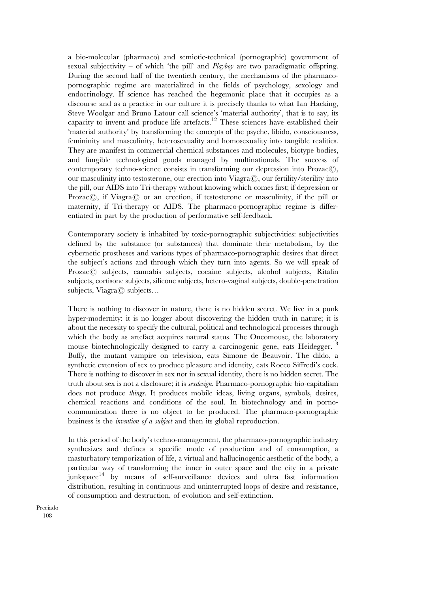a bio-molecular (pharmaco) and semiotic-technical (pornographic) government of sexual subjectivity – of which 'the pill' and  $Playboy$  are two paradigmatic offspring. During the second half of the twentieth century, the mechanisms of the pharmacopornographic regime are materialized in the fields of psychology, sexology and endocrinology. If science has reached the hegemonic place that it occupies as a discourse and as a practice in our culture it is precisely thanks to what Ian Hacking, Steve Woolgar and Bruno Latour call science's 'material authority', that is to say, its capacity to invent and produce life artefacts.<sup>12</sup> These sciences have established their 'material authority' by transforming the concepts of the psyche, libido, consciousness, femininity and masculinity, heterosexuality and homosexuality into tangible realities. They are manifest in commercial chemical substances and molecules, biotype bodies, and fungible technological goods managed by multinationals. The success of contemporary techno-science consists in transforming our depression into  $Prozac$ , our masculinity into testosterone, our erection into Viagra ( $\odot$ , our fertility/sterility into the pill, our AIDS into Tri-therapy without knowing which comes first; if depression or Prozac $\mathbb{C}$ , if Viagra $\mathbb{C}$  or an erection, if testosterone or masculinity, if the pill or maternity, if Tri-therapy or AIDS. The pharmaco-pornographic regime is differentiated in part by the production of performative self-feedback.

Contemporary society is inhabited by toxic-pornographic subjectivities: subjectivities defined by the substance (or substances) that dominate their metabolism, by the cybernetic prostheses and various types of pharmaco-pornographic desires that direct the subject's actions and through which they turn into agents. So we will speak of Prozac $\mathbb O$  subjects, cannabis subjects, cocaine subjects, alcohol subjects, Ritalin subjects, cortisone subjects, silicone subjects, hetero-vaginal subjects, double-penetration subjects, Viagra $\odot$  subjects...

There is nothing to discover in nature, there is no hidden secret. We live in a punk hyper-modernity: it is no longer about discovering the hidden truth in nature; it is about the necessity to specify the cultural, political and technological processes through which the body as artefact acquires natural status. The Oncomouse, the laboratory mouse biotechnologically designed to carry a carcinogenic gene, eats Heidegger.<sup>13</sup> Buffy, the mutant vampire on television, eats Simone de Beauvoir. The dildo, a synthetic extension of sex to produce pleasure and identity, eats Rocco Siffredi's cock. There is nothing to discover in sex nor in sexual identity, there is no hidden secret. The truth about sex is not a disclosure; it is sexdesign. Pharmaco-pornographic bio-capitalism does not produce things. It produces mobile ideas, living organs, symbols, desires, chemical reactions and conditions of the soul. In biotechnology and in pornocommunication there is no object to be produced. The pharmaco-pornographic business is the invention of a subject and then its global reproduction.

In this period of the body's techno-management, the pharmaco-pornographic industry synthesizes and defines a specific mode of production and of consumption, a masturbatory temporization of life, a virtual and hallucinogenic aesthetic of the body, a particular way of transforming the inner in outer space and the city in a private junkspace<sup>14</sup> by means of self-surveillance devices and ultra fast information distribution, resulting in continuous and uninterrupted loops of desire and resistance, of consumption and destruction, of evolution and self-extinction.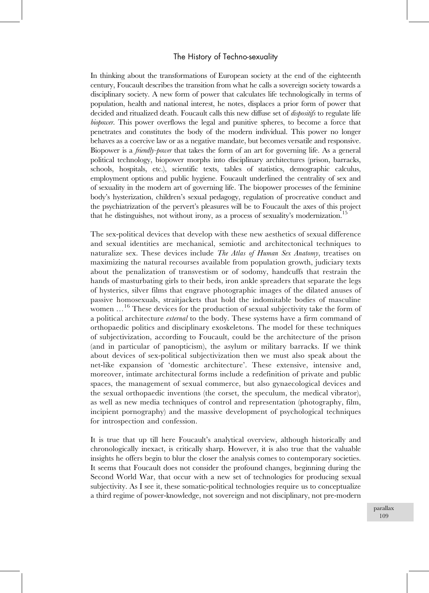### The History of Techno-sexuality

In thinking about the transformations of European society at the end of the eighteenth century, Foucault describes the transition from what he calls a sovereign society towards a disciplinary society. A new form of power that calculates life technologically in terms of population, health and national interest, he notes, displaces a prior form of power that decided and ritualized death. Foucault calls this new diffuse set of *dispositifs* to regulate life biopower. This power overflows the legal and punitive spheres, to become a force that penetrates and constitutes the body of the modern individual. This power no longer behaves as a coercive law or as a negative mandate, but becomes versatile and responsive. Biopower is a friendly-power that takes the form of an art for governing life. As a general political technology, biopower morphs into disciplinary architectures (prison, barracks, schools, hospitals, etc.), scientific texts, tables of statistics, demographic calculus, employment options and public hygiene. Foucault underlined the centrality of sex and of sexuality in the modern art of governing life. The biopower processes of the feminine body's hysterization, children's sexual pedagogy, regulation of procreative conduct and the psychiatrization of the pervert's pleasures will be to Foucault the axes of this project that he distinguishes, not without irony, as a process of sexuality's modernization.<sup>15</sup>

The sex-political devices that develop with these new aesthetics of sexual difference and sexual identities are mechanical, semiotic and architectonical techniques to naturalize sex. These devices include The Atlas of Human Sex Anatomy, treatises on maximizing the natural recourses available from population growth, judiciary texts about the penalization of transvestism or of sodomy, handcuffs that restrain the hands of masturbating girls to their beds, iron ankle spreaders that separate the legs of hysterics, silver films that engrave photographic images of the dilated anuses of passive homosexuals, straitjackets that hold the indomitable bodies of masculine women …<sup>16</sup> These devices for the production of sexual subjectivity take the form of a political architecture external to the body. These systems have a firm command of orthopaedic politics and disciplinary exoskeletons. The model for these techniques of subjectivization, according to Foucault, could be the architecture of the prison (and in particular of panopticism), the asylum or military barracks. If we think about devices of sex-political subjectivization then we must also speak about the net-like expansion of 'domestic architecture'. These extensive, intensive and, moreover, intimate architectural forms include a redefinition of private and public spaces, the management of sexual commerce, but also gynaecological devices and the sexual orthopaedic inventions (the corset, the speculum, the medical vibrator), as well as new media techniques of control and representation (photography, film, incipient pornography) and the massive development of psychological techniques for introspection and confession.

It is true that up till here Foucault's analytical overview, although historically and chronologically inexact, is critically sharp. However, it is also true that the valuable insights he offers begin to blur the closer the analysis comes to contemporary societies. It seems that Foucault does not consider the profound changes, beginning during the Second World War, that occur with a new set of technologies for producing sexual subjectivity. As I see it, these somatic-political technologies require us to conceptualize a third regime of power-knowledge, not sovereign and not disciplinary, not pre-modern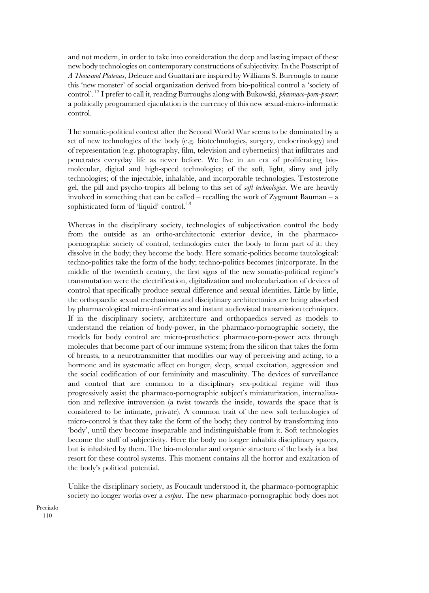and not modern, in order to take into consideration the deep and lasting impact of these new body technologies on contemporary constructions of subjectivity. In the Postscript of A Thousand Plateaus, Deleuze and Guattari are inspired by Williams S. Burroughs to name this 'new monster' of social organization derived from bio-political control a 'society of control'.<sup>17</sup> I prefer to call it, reading Burroughs along with Bukowski, *pharmaco-porn-power*: a politically programmed ejaculation is the currency of this new sexual-micro-informatic control.

The somatic-political context after the Second World War seems to be dominated by a set of new technologies of the body (e.g. biotechnologies, surgery, endocrinology) and of representation (e.g. photography, film, television and cybernetics) that infiltrates and penetrates everyday life as never before. We live in an era of proliferating biomolecular, digital and high-speed technologies; of the soft, light, slimy and jelly technologies; of the injectable, inhalable, and incorporable technologies. Testosterone gel, the pill and psycho-tropics all belong to this set of soft technologies. We are heavily involved in something that can be called – recalling the work of Zygmunt Bauman – a sophisticated form of 'liquid' control.<sup>18</sup>

Whereas in the disciplinary society, technologies of subjectivation control the body from the outside as an ortho-architectonic exterior device, in the pharmacopornographic society of control, technologies enter the body to form part of it: they dissolve in the body; they become the body. Here somatic-politics become tautological: techno-politics take the form of the body; techno-politics becomes (in)corporate. In the middle of the twentieth century, the first signs of the new somatic-political regime's transmutation were the electrification, digitalization and molecularization of devices of control that specifically produce sexual difference and sexual identities. Little by little, the orthopaedic sexual mechanisms and disciplinary architectonics are being absorbed by pharmacological micro-informatics and instant audiovisual transmission techniques. If in the disciplinary society, architecture and orthopaedics served as models to understand the relation of body-power, in the pharmaco-pornographic society, the models for body control are micro-prosthetics: pharmaco-porn-power acts through molecules that become part of our immune system; from the silicon that takes the form of breasts, to a neurotransmitter that modifies our way of perceiving and acting, to a hormone and its systematic affect on hunger, sleep, sexual excitation, aggression and the social codification of our femininity and masculinity. The devices of surveillance and control that are common to a disciplinary sex-political regime will thus progressively assist the pharmaco-pornographic subject's miniaturization, internalization and reflexive introversion (a twist towards the inside, towards the space that is considered to be intimate, private). A common trait of the new soft technologies of micro-control is that they take the form of the body; they control by transforming into 'body', until they become inseparable and indistinguishable from it. Soft technologies become the stuff of subjectivity. Here the body no longer inhabits disciplinary spaces, but is inhabited by them. The bio-molecular and organic structure of the body is a last resort for these control systems. This moment contains all the horror and exaltation of the body's political potential.

Unlike the disciplinary society, as Foucault understood it, the pharmaco-pornographic society no longer works over a *corpus*. The new pharmaco-pornographic body does not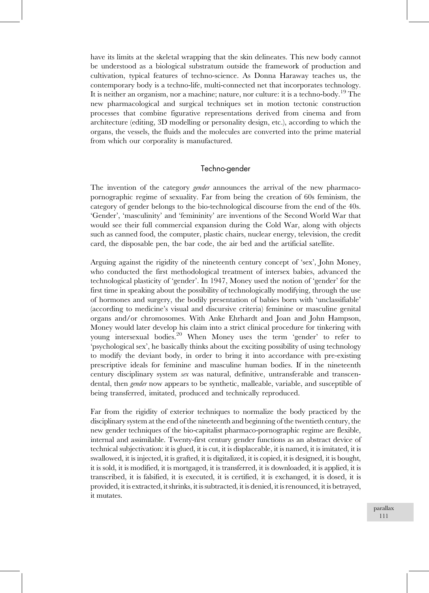have its limits at the skeletal wrapping that the skin delineates. This new body cannot be understood as a biological substratum outside the framework of production and cultivation, typical features of techno-science. As Donna Haraway teaches us, the contemporary body is a techno-life, multi-connected net that incorporates technology. It is neither an organism, nor a machine; nature, nor culture: it is a techno-body.<sup>19</sup> The new pharmacological and surgical techniques set in motion tectonic construction processes that combine figurative representations derived from cinema and from architecture (editing, 3D modelling or personality design, etc.), according to which the organs, the vessels, the fluids and the molecules are converted into the prime material from which our corporality is manufactured.

## Techno-gender

The invention of the category *gender* announces the arrival of the new pharmacopornographic regime of sexuality. Far from being the creation of 60s feminism, the category of gender belongs to the bio-technological discourse from the end of the 40s. 'Gender', 'masculinity' and 'femininity' are inventions of the Second World War that would see their full commercial expansion during the Cold War, along with objects such as canned food, the computer, plastic chairs, nuclear energy, television, the credit card, the disposable pen, the bar code, the air bed and the artificial satellite.

Arguing against the rigidity of the nineteenth century concept of 'sex', John Money, who conducted the first methodological treatment of intersex babies, advanced the technological plasticity of 'gender'. In 1947, Money used the notion of 'gender' for the first time in speaking about the possibility of technologically modifying, through the use of hormones and surgery, the bodily presentation of babies born with 'unclassifiable' (according to medicine's visual and discursive criteria) feminine or masculine genital organs and/or chromosomes. With Anke Ehrhardt and Joan and John Hampson, Money would later develop his claim into a strict clinical procedure for tinkering with young intersexual bodies.<sup>20</sup> When Money uses the term 'gender' to refer to 'psychological sex', he basically thinks about the exciting possibility of using technology to modify the deviant body, in order to bring it into accordance with pre-existing prescriptive ideals for feminine and masculine human bodies. If in the nineteenth century disciplinary system sex was natural, definitive, untransferable and transcendental, then gender now appears to be synthetic, malleable, variable, and susceptible of being transferred, imitated, produced and technically reproduced.

Far from the rigidity of exterior techniques to normalize the body practiced by the disciplinary system at the end of the nineteenth and beginning of the twentieth century, the new gender techniques of the bio-capitalist pharmaco-pornographic regime are flexible, internal and assimilable. Twenty-first century gender functions as an abstract device of technical subjectivation: it is glued, it is cut, it is displaceable, it is named, it is imitated, it is swallowed, it is injected, it is grafted, it is digitalized, it is copied, it is designed, it is bought, it is sold, it is modified, it is mortgaged, it is transferred, it is downloaded, it is applied, it is transcribed, it is falsified, it is executed, it is certified, it is exchanged, it is dosed, it is provided, it is extracted, it shrinks, it is subtracted, it is denied, it is renounced, it is betrayed, it mutates.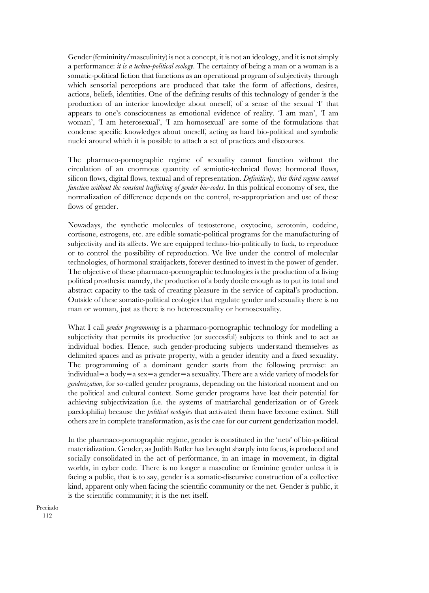Gender (femininity/masculinity) is not a concept, it is not an ideology, and it is not simply a performance: it is a techno-political ecology. The certainty of being a man or a woman is a somatic-political fiction that functions as an operational program of subjectivity through which sensorial perceptions are produced that take the form of affections, desires, actions, beliefs, identities. One of the defining results of this technology of gender is the production of an interior knowledge about oneself, of a sense of the sexual 'I' that appears to one's consciousness as emotional evidence of reality. 'I am man', 'I am woman', 'I am heterosexual', 'I am homosexual' are some of the formulations that condense specific knowledges about oneself, acting as hard bio-political and symbolic nuclei around which it is possible to attach a set of practices and discourses.

The pharmaco-pornographic regime of sexuality cannot function without the circulation of an enormous quantity of semiotic-technical flows: hormonal flows, silicon flows, digital flows, textual and of representation. Definitively, this third regime cannot function without the constant trafficking of gender bio-codes. In this political economy of sex, the normalization of difference depends on the control, re-appropriation and use of these flows of gender.

Nowadays, the synthetic molecules of testosterone, oxytocine, serotonin, codeine, cortisone, estrogens, etc. are edible somatic-political programs for the manufacturing of subjectivity and its affects. We are equipped techno-bio-politically to fuck, to reproduce or to control the possibility of reproduction. We live under the control of molecular technologies, of hormonal straitjackets, forever destined to invest in the power of gender. The objective of these pharmaco-pornographic technologies is the production of a living political prosthesis: namely, the production of a body docile enough as to put its total and abstract capacity to the task of creating pleasure in the service of capital's production. Outside of these somatic-political ecologies that regulate gender and sexuality there is no man or woman, just as there is no heterosexuality or homosexuality.

What I call *gender programming* is a pharmaco-pornographic technology for modelling a subjectivity that permits its productive (or successful) subjects to think and to act as individual bodies. Hence, such gender-producing subjects understand themselves as delimited spaces and as private property, with a gender identity and a fixed sexuality. The programming of a dominant gender starts from the following premise: an individual=a body=a sex=a gender=a sexuality. There are a wide variety of models for genderization, for so-called gender programs, depending on the historical moment and on the political and cultural context. Some gender programs have lost their potential for achieving subjectivization (i.e. the systems of matriarchal genderization or of Greek paedophilia) because the political ecologies that activated them have become extinct. Still others are in complete transformation, as is the case for our current genderization model.

In the pharmaco-pornographic regime, gender is constituted in the 'nets' of bio-political materialization. Gender, as Judith Butler has brought sharply into focus, is produced and socially consolidated in the act of performance, in an image in movement, in digital worlds, in cyber code. There is no longer a masculine or feminine gender unless it is facing a public, that is to say, gender is a somatic-discursive construction of a collective kind, apparent only when facing the scientific community or the net. Gender is public, it is the scientific community; it is the net itself.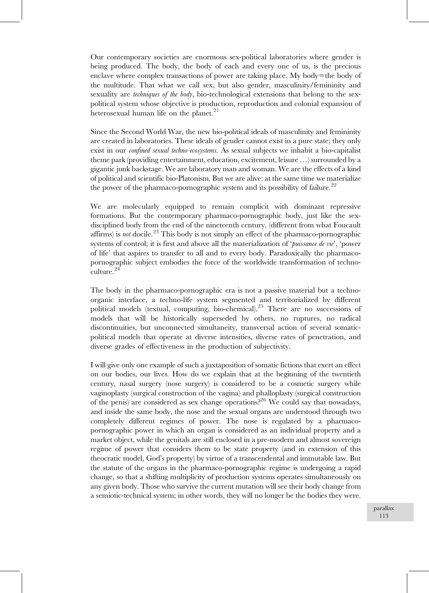Our contemporary societies are enormous sex-political laboratories where gender is being produced. The body, the body of each and every one of us, is the precious enclave where complex transactions of power are taking place. My body=the body of the multitude. That what we call sex, but also gender, masculinity/femininity and sexuality are *techniques of the body*, bio-technological extensions that belong to the sexpolitical system whose objective is production, reproduction and colonial expansion of heterosexual human life on the planet. $^{21}$ 

Since the Second World War, the new bio-political ideals of masculinity and femininity are created in laboratories. These ideals of gender cannot exist in a pure state; they only exist in our confined sexual techno-ecosystems. As sexual subjects we inhabit a bio-capitalist theme park (providing entertainment, education, excitement, leisure …) surrounded by a gigantic junk backstage. We are laboratory man and woman. We are the effects of a kind of political and scientific bio-Platonism. But we are alive: at the same time we materialize the power of the pharmaco-pornographic system and its possibility of failure.<sup>22</sup>

We are molecularly equipped to remain complicit with dominant repressive formations. But the contemporary pharmaco-pornographic body, just like the sexdisciplined body from the end of the nineteenth century, (different from what Foucault affirms) is *not* docile.<sup>23</sup> This body is not simply an effect of the pharmaco-pornographic systems of control; it is first and above all the materialization of '*puissance de vie*', 'power of life' that aspires to transfer to all and to every body. Paradoxically the pharmacopornographic subject embodies the force of the worldwide transformation of technoculture.<sup>24</sup>

The body in the pharmaco-pornographic era is not a passive material but a technoorganic interface, a techno-life system segmented and territorialized by different political models (textual, computing, bio-chemical).<sup>25</sup> There are no successions of models that will be historically superseded by others, no ruptures, no radical discontinuities, but unconnected simultaneity, transversal action of several somaticpolitical models that operate at diverse intensities, diverse rates of penetration, and diverse grades of effectiveness in the production of subjectivity.

I will give only one example of such a juxtaposition of somatic fictions that exert an effect on our bodies, our lives. How do we explain that at the beginning of the twentieth century, nasal surgery (nose surgery) is considered to be a cosmetic surgery while vaginoplasty (surgical construction of the vagina) and phalloplasty (surgical construction of the penis) are considered as sex change operations?<sup>26</sup> We could say that nowadays, and inside the same body, the nose and the sexual organs are understood through two completely different regimes of power. The nose is regulated by a pharmacopornographic power in which an organ is considered as an individual property and a market object, while the genitals are still enclosed in a pre-modern and almost sovereign regime of power that considers them to be state property (and in extension of this theocratic model, God's property) by virtue of a transcendental and immutable law. But the statute of the organs in the pharmaco-pornographic regime is undergoing a rapid change, so that a shifting multiplicity of production systems operates simultaneously on any given body. Those who survive the current mutation will see their body change from a semiotic-technical system; in other words, they will no longer be the bodies they were.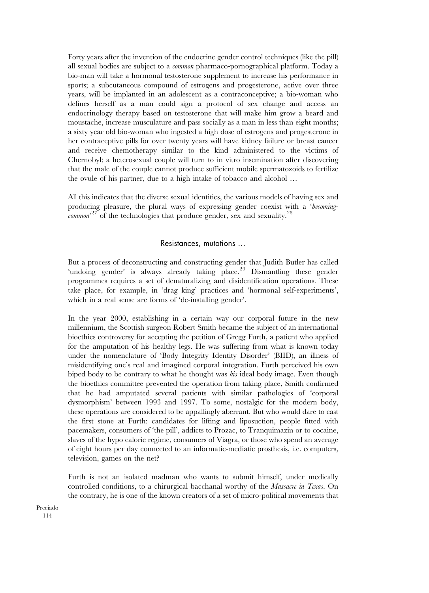Forty years after the invention of the endocrine gender control techniques (like the pill) all sexual bodies are subject to a common pharmaco-pornographical platform. Today a bio-man will take a hormonal testosterone supplement to increase his performance in sports; a subcutaneous compound of estrogens and progesterone, active over three years, will be implanted in an adolescent as a contraconceptive; a bio-woman who defines herself as a man could sign a protocol of sex change and access an endocrinology therapy based on testosterone that will make him grow a beard and moustache, increase musculature and pass socially as a man in less than eight months; a sixty year old bio-woman who ingested a high dose of estrogens and progesterone in her contraceptive pills for over twenty years will have kidney failure or breast cancer and receive chemotherapy similar to the kind administered to the victims of Chernobyl; a heterosexual couple will turn to in vitro insemination after discovering that the male of the couple cannot produce sufficient mobile spermatozoids to fertilize the ovule of his partner, due to a high intake of tobacco and alcohol …

All this indicates that the diverse sexual identities, the various models of having sex and producing pleasure, the plural ways of expressing gender coexist with a 'becoming*common*<sup>27</sup> of the technologies that produce gender, sex and sexuality.<sup>28</sup>

### Resistances, mutations …

But a process of deconstructing and constructing gender that Judith Butler has called 'undoing gender' is always already taking place.<sup>29</sup> Dismantling these gender programmes requires a set of denaturalizing and disidentification operations. These take place, for example, in 'drag king' practices and 'hormonal self-experiments', which in a real sense are forms of 'de-installing gender'.

In the year 2000, establishing in a certain way our corporal future in the new millennium, the Scottish surgeon Robert Smith became the subject of an international bioethics controversy for accepting the petition of Gregg Furth, a patient who applied for the amputation of his healthy legs. He was suffering from what is known today under the nomenclature of 'Body Integrity Identity Disorder' (BIID), an illness of misidentifying one's real and imagined corporal integration. Furth perceived his own biped body to be contrary to what he thought was his ideal body image. Even though the bioethics committee prevented the operation from taking place, Smith confirmed that he had amputated several patients with similar pathologies of 'corporal dysmorphism' between 1993 and 1997. To some, nostalgic for the modern body, these operations are considered to be appallingly aberrant. But who would dare to cast the first stone at Furth: candidates for lifting and liposuction, people fitted with pacemakers, consumers of 'the pill', addicts to Prozac, to Tranquimazin or to cocaine, slaves of the hypo calorie regime, consumers of Viagra, or those who spend an average of eight hours per day connected to an informatic-mediatic prosthesis, i.e. computers, television, games on the net?

Furth is not an isolated madman who wants to submit himself, under medically controlled conditions, to a chirurgical bacchanal worthy of the Massacre in Texas. On the contrary, he is one of the known creators of a set of micro-political movements that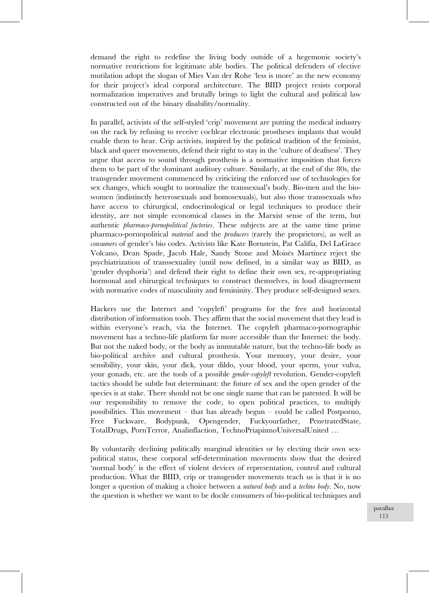demand the right to redefine the living body outside of a hegemonic society's normative restrictions for legitimate able bodies. The political defenders of elective mutilation adopt the slogan of Mies Van der Rohe 'less is more' as the new economy for their project's ideal corporal architecture. The BIID project resists corporal normalization imperatives and brutally brings to light the cultural and political law constructed out of the binary disability/normality.

In parallel, activists of the self-styled 'crip' movement are putting the medical industry on the rack by refusing to receive cochlear electronic prostheses implants that would enable them to hear. Crip activists, inspired by the political tradition of the feminist, black and queer movements, defend their right to stay in the 'culture of deafness'. They argue that access to sound through prosthesis is a normative imposition that forces them to be part of the dominant auditory culture. Similarly, at the end of the 80s, the transgender movement commenced by criticizing the enforced use of technologies for sex changes, which sought to normalize the transsexual's body. Bio-men and the biowomen (indistinctly heterosexuals and homosexuals), but also those transsexuals who have access to chirurgical, endocrinological or legal techniques to produce their identity, are not simple economical classes in the Marxist sense of the term, but authentic pharmaco-pornopolitical factories. These subjects are at the same time prime pharmaco-pornopolitical material and the producers (rarely the proprietors), as well as consumers of gender's bio codes. Activists like Kate Bornstein, Pat Califia, Del LaGrace Volcano, Dean Spade, Jacob Hale, Sandy Stone and Moisés Martínez reject the psychiatrization of transsexuality (until now defined, in a similar way as BIID, as 'gender dysphoria') and defend their right to define their own sex, re-appropriating hormonal and chirurgical techniques to construct themselves, in loud disagreement with normative codes of masculinity and femininity. They produce self-designed sexes.

Hackers use the Internet and 'copyleft' programs for the free and horizontal distribution of information tools. They affirm that the social movement that they lead is within everyone's reach, via the Internet. The copyleft pharmaco-pornographic movement has a techno-life platform far more accessible than the Internet: the body. But not the naked body, or the body as immutable nature, but the techno-life body as bio-political archive and cultural prosthesis. Your memory, your desire, your sensibility, your skin, your dick, your dildo, your blood, your sperm, your vulva, your gonads, etc. are the tools of a possible gender-copyleft revolution. Gender-copyleft tactics should be subtle but determinant: the future of sex and the open gender of the species is at stake. There should not be one single name that can be patented. It will be our responsibility to remove the code, to open political practices, to multiply possibilities. This movement – that has already begun – could be called Postporno, Free Fuckware, Bodypunk, Opengender, Fuckyourfather, PenetratedState, TotalDrugs, PornTerror, Analinflaction, TechnoPriapismoUniversalUnited …

By voluntarily declining politically marginal identities or by electing their own sexpolitical status, these corporal self-determination movements show that the desired 'normal body' is the effect of violent devices of representation, control and cultural production. What the BIID, crip or transgender movements teach us is that it is no longer a question of making a choice between a *natural body* and a *techno body*. No, now the question is whether we want to be docile consumers of bio-political techniques and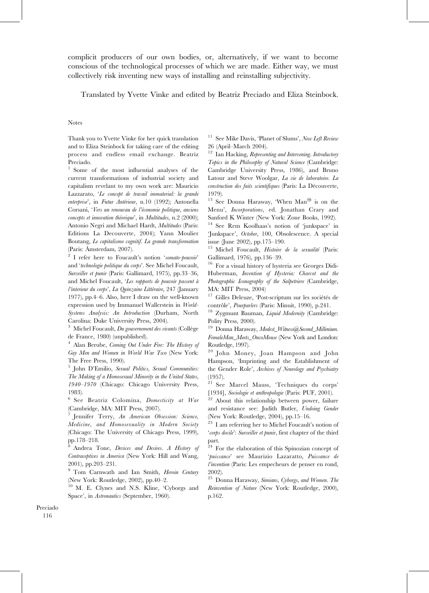complicit producers of our own bodies, or, alternatively, if we want to become conscious of the technological processes of which we are made. Either way, we must collectively risk inventing new ways of installing and reinstalling subjectivity.

Translated by Yvette Vinke and edited by Beatriz Preciado and Eliza Steinbock.

#### Notes

Thank you to Yvette Vinke for her quick translation and to Eliza Steinbock for taking care of the editing process and endless email exchange. Beatriz Preciado.

<sup>1</sup> Some of the most influential analyses of the current transformations of industrial society and capitalism revelant to my own work are: Mauricio Lazzarato, 'Le concept de travail immaterial: la grande enterprise', in Futur Antérieur, n.10 (1992); Antonella Corsani, 'Vers un renouvau de l'économie politique, anciens concepts et innovation théorique', in Multitudes, n.2 (2000); Antonio Negri and Michael Hardt, Multitudes (Paris: Editions La Decouverte, 2004); Yann Moulier Boutang, Le capitalismo cognitif. La grande transformation (Paris: Ámsterdam, 2007).

<sup>2</sup> I refer here to Foucault's notion 'somato-pouvoir' and 'technologie politique du corps'. See Michel Foucault, Surveiller et punir (Paris: Gallimard, 1975), pp.33–36, and Michel Foucault, 'Les rapports de pouvoir passent à l'interieur du corps', La Quinzaine Littéraire, 247 (January 1977), pp.4–6. Also, here I draw on the well-known expression used by Immanuel Wallerstein in World-Systems Analysis: An Introduction (Durham, North Carolina: Duke University Press, 2004).

Michel Foucault, Du gouvernement des vivants (Collège de France, 1980) (unpublished).

 $4$  Alan Berube, Coming Out Under Fire: The History of Gay Men and Women in World War Two (New York: The Free Press, 1990).

<sup>5</sup> John D'Emilio, Sexual Politics, Sexual Communities: The Making of a Homosexual Minority in the United States, 1940–1970 (Chicago: Chicago University Press, 1983).

<sup>6</sup> See Beatriz Colomina, Domesticity at War (Cambridge, MA: MIT Press, 2007).

Jennifer Terry, An American Obsession: Science, Medicine, and Homosexuality in Modern Society (Chicago: The University of Chicago Press, 1999), pp.178–218.

Andrea Tone, Devices and Desires. A History of Contraceptives in America (New York: Hill and Wang, 2001), pp.203–231.

<sup>9</sup> Tom Carnwath and Ian Smith, *Heroin Century* (New York: Routledge, 2002), pp.40–2.

<sup>10</sup> M. E. Clynes and N.S. Kline, 'Cyborgs and Space', in Astronautics (September, 1960).

<sup>11</sup> See Mike Davis, 'Planet of Slums', New Left Review 26 (April–March 2004).

 $12$  Ian Hacking, Representing and Intervening. Introductory Topics in the Philosophy of Natural Science (Cambridge: Cambridge University Press, 1986), and Bruno Latour and Steve Woolgar, La vie de laboratoire. La construction des faits scientifiques (Paris: La Découverte, 1979).

<sup>13</sup> See Donna Haraway, 'When Man<sup>®</sup> is on the Menu', Incorporations, ed. Jonathan Crary and Sanford K Winter (New York: Zone Books, 1992).

<sup>14</sup> See Rem Koolhaas's notion of 'junkspace' in 'Junkspace', October, 100, Obsolescence. A special issue (June 2002), pp.175–190.

 $15$  Michel Foucault, Histoire de la sexualité (Paris: Gallimard, 1976), pp.136–39.

<sup>16</sup> For a visual history of hysteria see Georges Didi-Huberman, Invention of Hysteria: Charcot and the Photographic Iconography of the Salpetriere (Cambridge, MA: MIT Press, 2004)

<sup>17</sup> Gilles Deleuze, 'Post-scriptum sur les sociétés de contrôle', Pourparlers (Paris: Minuit, 1990), p.241.

<sup>18</sup> Zygmunt Bauman, Liquid Modernity (Cambridge: Polity Press, 2000).

<sup>19</sup> Donna Haraway, Modest\_Witness@Second\_Millenium. FemaleMan\_Meets\_OncoMouse (New York and London: Routledge, 1997).

<sup>20</sup> John Money, Joan Hampson and John Hampson, 'Imprinting and the Establishment of the Gender Role', Archives of Neurology and Psychiatry  $(1957)$ .

See Marcel Mauss, 'Techniques du corps' [1934], Sociologie et anthropologie (Paris: PUF, 2001).

 $^{22}$  About this relationship between power, failure and resistance see: Judith Butler, Undoing Gender (New York: Routledge, 2004), pp.15–16.

<sup>23</sup> I am referring her to Michel Foucault's notion of 'corps docile': Surveiller et punir, first chapter of the third part.

 $24$  For the elaboration of this Spinozian concept of 'puissance' see Maurizio Lazaratto, Puissance de l'invention (Paris: Les empecheurs de penser en rond, 2002).

<sup>25</sup> Donna Haraway, Simians, Cyborgs, and Women. The Reinvention of Nature (New York: Routledge, 2000), p.162.